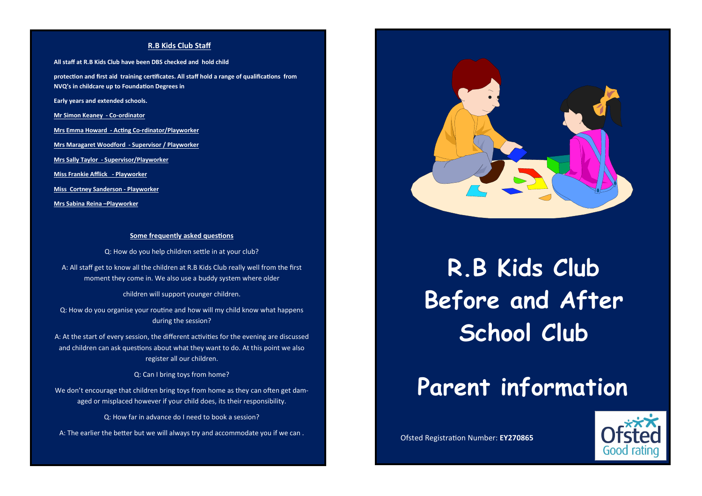#### **R.B Kids Club Staff**

**All staff at R.B Kids Club have been DBS checked and hold child protection and first aid training certificates. All staff hold a range of qualifications from NVQ's in childcare up to Foundation Degrees in Early years and extended schools. Mr Simon Keaney - Co-ordinator Mrs Emma Howard - Acting Co-rdinator/Playworker Mrs Maragaret Woodford - Supervisor / Playworker Mrs Sally Taylor - Supervisor/Playworker Miss Frankie Afflick - Playworker** 

**Miss Cortney Sanderson - Playworker**

**Mrs Sabina Reina –Playworker**

#### **Some frequently asked questions**

Q: How do you help children settle in at your club?

A: All staff get to know all the children at R.B Kids Club really well from the first moment they come in. We also use a buddy system where older

children will support younger children.

Q: How do you organise your routine and how will my child know what happens during the session?

A: At the start of every session, the different activities for the evening are discussed and children can ask questions about what they want to do. At this point we also register all our children.

Q: Can I bring toys from home?

We don't encourage that children bring toys from home as they can often get damaged or misplaced however if your child does, its their responsibility.

Q: How far in advance do I need to book a session?

A: The earlier the better but we will always try and accommodate you if we can .



**R.B Kids Club Before and After School Club**

# **Parent information**

Ofsted Registration Number: **EY270865**